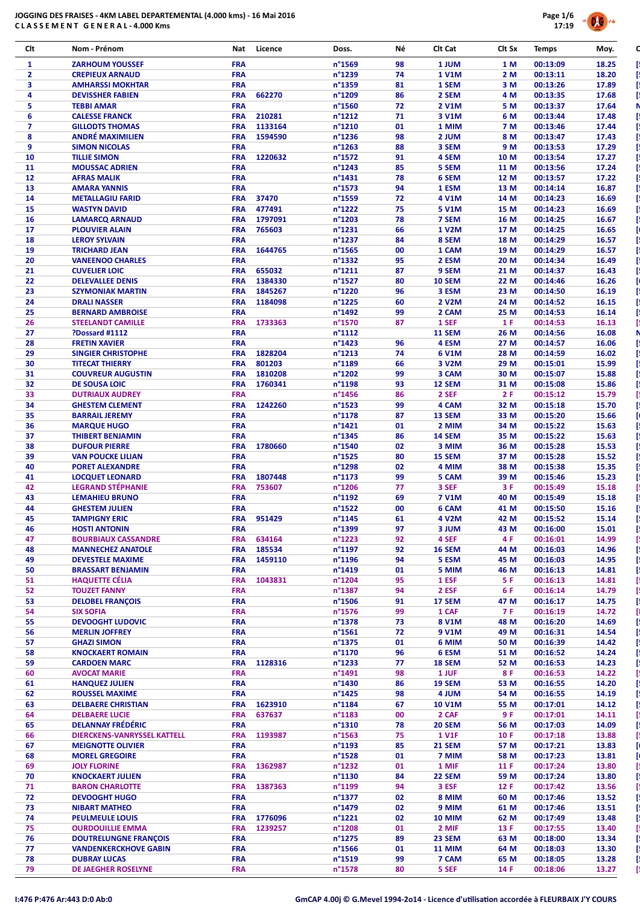

| Clt            | Nom - Prénom                                        | Nat                      | Licence | Doss.                               | Νé       | Clt Cat                | Clt Sx       | <b>Temps</b>         | Moy.           |
|----------------|-----------------------------------------------------|--------------------------|---------|-------------------------------------|----------|------------------------|--------------|----------------------|----------------|
| $\mathbf{1}$   | <b>ZARHOUM YOUSSEF</b>                              | <b>FRA</b>               |         | n°1569                              | 98       | 1 JUM                  | 1 M          | 00:13:09             | 18.25          |
| $\overline{2}$ | <b>CREPIEUX ARNAUD</b>                              | <b>FRA</b>               |         | n°1239                              | 74       | <b>1 V1M</b>           | 2 M          | 00:13:11             | 18.20          |
| 3              | <b>AMHARSSI MOKHTAR</b>                             | <b>FRA</b>               |         | n°1359                              | 81       | 1 SEM                  | 3 M          | 00:13:26             | 17.89          |
| 4              | <b>DEVISSHER FABIEN</b>                             | <b>FRA</b>               | 662270  | n°1209                              | 86       | 2 SEM                  | 4 M          | 00:13:35             | 17.68          |
| 5<br>6         | <b>TEBBI AMAR</b><br><b>CALESSE FRANCK</b>          | <b>FRA</b><br><b>FRA</b> | 210281  | n°1560<br>n°1212                    | 72<br>71 | <b>2 V1M</b><br>3 V1M  | 5 M<br>6 M   | 00:13:37<br>00:13:44 | 17.64<br>17.48 |
| $\overline{ }$ | <b>GILLODTS THOMAS</b>                              | <b>FRA</b>               | 1133164 | n°1210                              | 01       | 1 MIM                  | 7 M          | 00:13:46             | 17.44          |
| 8              | <b>ANDRÉ MAXIMILIEN</b>                             | <b>FRA</b>               | 1594590 | n°1236                              | 98       | 2 JUM                  | 8 M          | 00:13:47             | 17.43          |
| 9              | <b>SIMON NICOLAS</b>                                | <b>FRA</b>               |         | $n^{\circ}$ 1263                    | 88       | 3 SEM                  | 9 M          | 00:13:53             | 17.29          |
| 10             | <b>TILLIE SIMON</b>                                 | <b>FRA</b>               | 1220632 | n°1572                              | 91       | 4 SEM                  | 10 M         | 00:13:54             | 17.27          |
| 11             | <b>MOUSSAC ADRIEN</b>                               | <b>FRA</b>               |         | n°1243                              | 85       | 5 SEM                  | 11 M         | 00:13:56             | 17.24          |
| 12<br>13       | <b>AFRAS MALIK</b><br><b>AMARA YANNIS</b>           | <b>FRA</b><br><b>FRA</b> |         | $n^{\circ}$ 1431<br>n°1573          | 78<br>94 | 6 SEM<br>1 ESM         | 12 M<br>13 M | 00:13:57<br>00:14:14 | 17.22<br>16.87 |
| 14             | <b>METALLAGIU FARID</b>                             | <b>FRA</b>               | 37470   | n°1559                              | 72       | 4 V1M                  | 14 M         | 00:14:23             | 16.69          |
| 15             | <b>WASTYN DAVID</b>                                 | <b>FRA</b>               | 477491  | n°1222                              | 75       | 5 V1M                  | 15 M         | 00:14:23             | 16.69          |
| 16             | <b>LAMARCQ ARNAUD</b>                               | <b>FRA</b>               | 1797091 | n°1203                              | 78       | 7 SEM                  | 16 M         | 00:14:25             | 16.67          |
| 17             | <b>PLOUVIER ALAIN</b>                               | <b>FRA</b>               | 765603  | n°1231                              | 66       | 1 V2M                  | 17 M         | 00:14:25             | 16.65          |
| 18             | <b>LEROY SYLVAIN</b>                                | <b>FRA</b>               |         | n°1237                              | 84       | 8 SEM                  | 18 M         | 00:14:29             | 16.57          |
| 19             | <b>TRICHARD JEAN</b>                                | <b>FRA</b>               | 1644765 | n°1565                              | 00       | 1 CAM                  | 19 M         | 00:14:29             | 16.57          |
| 20<br>21       | <b>VANEENOO CHARLES</b><br><b>CUVELIER LOIC</b>     | <b>FRA</b><br><b>FRA</b> | 655032  | n°1332<br>$n^{\circ}1211$           | 95<br>87 | 2 ESM<br>9 SEM         | 20 M<br>21 M | 00:14:34<br>00:14:37 | 16.49<br>16.43 |
| 22             | <b>DELEVALLEE DENIS</b>                             | <b>FRA</b>               | 1384330 | n°1527                              | 80       | <b>10 SEM</b>          | 22 M         | 00:14:46             | 16.26          |
| 23             | <b>SZYMONIAK MARTIN</b>                             | <b>FRA</b>               | 1845267 | n°1220                              | 96       | 3 ESM                  | 23 M         | 00:14:50             | 16.19          |
| 24             | <b>DRALI NASSER</b>                                 | <b>FRA</b>               | 1184098 | n°1225                              | 60       | 2 V2M                  | 24 M         | 00:14:52             | 16.15          |
| 25             | <b>BERNARD AMBROISE</b>                             | <b>FRA</b>               |         | n°1492                              | 99       | 2 CAM                  | 25 M         | 00:14:53             | 16.14          |
| 26             | <b>STEELANDT CAMILLE</b>                            | <b>FRA</b>               | 1733363 | n°1570                              | 87       | 1 SEF                  | 1 F          | 00:14:53             | 16.13          |
| 27             | <b>POssard #1112</b>                                | <b>FRA</b><br><b>FRA</b> |         | $n^{\circ}1112$<br>$n^{\circ}$ 1423 | 96       | <b>11 SEM</b><br>4 ESM | 26 M         | 00:14:56             | 16.08<br>16.06 |
| 28<br>29       | <b>FRETIN XAVIER</b><br><b>SINGIER CHRISTOPHE</b>   | <b>FRA</b>               | 1828204 | $n^{\circ}$ 1213                    | 74       | 6 V1M                  | 27 M<br>28 M | 00:14:57<br>00:14:59 | 16.02          |
| 30             | <b>TITECAT THIERRY</b>                              | <b>FRA</b>               | 801203  | n°1189                              | 66       | 3 V2M                  | 29 M         | 00:15:01             | 15.99          |
| 31             | <b>COUVREUR AUGUSTIN</b>                            | <b>FRA</b>               | 1810208 | n°1202                              | 99       | 3 CAM                  | 30 M         | 00:15:07             | 15.88          |
| 32             | DE SOUSA LOIC                                       | <b>FRA</b>               | 1760341 | n°1198                              | 93       | 12 SEM                 | 31 M         | 00:15:08             | 15.86          |
| 33             | <b>DUTRIAUX AUDREY</b>                              | <b>FRA</b>               |         | n°1456                              | 86       | 2 SEF                  | 2 F          | 00:15:12             | 15.79          |
| 34<br>35       | <b>GHESTEM CLEMENT</b><br><b>BARRAIL JEREMY</b>     | <b>FRA</b><br><b>FRA</b> | 1242260 | n°1523<br>n°1178                    | 99<br>87 | 4 CAM                  | 32 M<br>33 M | 00:15:18<br>00:15:20 | 15.70<br>15.66 |
| 36             | <b>MARQUE HUGO</b>                                  | <b>FRA</b>               |         | $n^{\circ}$ 1421                    | 01       | 13 SEM<br>2 MIM        | 34 M         | 00:15:22             | 15.63          |
| 37             | THIBERT BENJAMIN                                    | <b>FRA</b>               |         | n°1345                              | 86       | <b>14 SEM</b>          | 35 M         | 00:15:22             | 15.63          |
| 38             | <b>DUFOUR PIERRE</b>                                | <b>FRA</b>               | 1780660 | n°1540                              | 02       | 3 MIM                  | 36 M         | 00:15:28             | 15.53          |
| 39             | <b>VAN POUCKE LILIAN</b>                            | <b>FRA</b>               |         | n°1525                              | 80       | 15 SEM                 | 37 M         | 00:15:28             | 15.52          |
| 40             | <b>PORET ALEXANDRE</b>                              | <b>FRA</b>               |         | n°1298                              | 02       | 4 MIM                  | 38 M         | 00:15:38             | 15.35          |
| 41             | <b>LOCQUET LEONARD</b>                              | <b>FRA</b>               | 1807448 | n°1173                              | 99       | 5 CAM                  | 39 M         | 00:15:46             | 15.23          |
| 42<br>43       | <b>LEGRAND STÉPHANIE</b><br><b>LEMAHIEU BRUNO</b>   | <b>FRA</b><br><b>FRA</b> | 753607  | n°1206<br>n°1192                    | 77<br>69 | 3 SEF<br><b>7 V1M</b>  | 3 F<br>40 M  | 00:15:49<br>00:15:49 | 15.18<br>15.18 |
| 44             | <b>GHESTEM JULIEN</b>                               | <b>FRA</b>               |         | n°1522                              | 00       | 6 CAM                  | 41 M         | 00:15:50             | 15.16          |
| 45             | <b>TAMPIGNY ERIC</b>                                | <b>FRA</b>               | 951429  | n°1145                              | 61       | 4 V2M                  | 42 M         | 00:15:52             | 15.14          |
| 46             | <b>HOSTI ANTONIN</b>                                | <b>FRA</b>               |         | n°1399                              | 97       | 3 JUM                  | 43 M         | 00:16:00             | 15.01          |
| 47             | <b>BOURBIAUX CASSANDRE</b>                          | <b>FRA</b>               | 634164  | $n^{\circ}$ 1223                    | 92       | 4 SEF                  | 4 F          | 00:16:01             | 14.99          |
| 48             | <b>MANNECHEZ ANATOLE</b>                            | <b>FRA</b>               | 185534  | n°1197                              | 92       | <b>16 SEM</b>          | 44 M         | 00:16:03             | 14.96          |
| 49<br>50       | <b>DEVESTELE MAXIME</b><br><b>BRASSART BENJAMIN</b> | <b>FRA</b><br><b>FRA</b> | 1459110 | n°1196<br>n°1419                    | 94<br>01 | 5 ESM<br>5 MIM         | 45 M<br>46 M | 00:16:03<br>00:16:13 | 14.95<br>14.81 |
| 51             | <b>HAQUETTE CÉLIA</b>                               | <b>FRA</b>               | 1043831 | n°1204                              | 95       | 1 ESF                  | 5 F          | 00:16:13             | 14.81          |
| 52             | <b>TOUZET FANNY</b>                                 | <b>FRA</b>               |         | n°1387                              | 94       | 2 ESF                  | 6 F          | 00:16:14             | 14.79          |
| 53             | <b>DELOBEL FRANÇOIS</b>                             | <b>FRA</b>               |         | n°1506                              | 91       | 17 SEM                 | 47 M         | 00:16:17             | 14.75          |
| 54             | <b>SIX SOFIA</b>                                    | <b>FRA</b>               |         | n°1576                              | 99       | 1 CAF                  | <b>7 F</b>   | 00:16:19             | 14.72          |
| 55             | <b>DEVOOGHT LUDOVIC</b>                             | <b>FRA</b>               |         | n°1378                              | 73       | 8 V1M                  | 48 M         | 00:16:20             | 14.69          |
| 56<br>57       | <b>MERLIN JOFFREY</b><br><b>GHAZI SIMON</b>         | <b>FRA</b><br><b>FRA</b> |         | n°1561<br>n°1375                    | 72<br>01 | 9 V1M<br>6 MIM         | 49 M<br>50 M | 00:16:31<br>00:16:39 | 14.54<br>14.42 |
| 58             | <b>KNOCKAERT ROMAIN</b>                             | <b>FRA</b>               |         | n°1170                              | 96       | 6 ESM                  | 51 M         | 00:16:52             | 14.24          |
| 59             | <b>CARDOEN MARC</b>                                 | <b>FRA</b>               | 1128316 | n°1233                              | 77       | 18 SEM                 | 52 M         | 00:16:53             | 14.23          |
| 60             | <b>AVOCAT MARIE</b>                                 | <b>FRA</b>               |         | n°1491                              | 98       | 1 JUF                  | 8 F          | 00:16:53             | 14.22          |
| 61             | <b>HANQUEZ JULIEN</b>                               | <b>FRA</b>               |         | n°1430                              | 86       | <b>19 SEM</b>          | 53 M         | 00:16:55             | 14.20          |
| 62             | <b>ROUSSEL MAXIME</b>                               | <b>FRA</b>               |         | n°1425                              | 98       | 4 JUM                  | 54 M         | 00:16:55             | 14.19          |
| 63<br>64       | <b>DELBAERE CHRISTIAN</b><br><b>DELBAERE LUCIE</b>  | <b>FRA</b>               | 1623910 | n°1184                              | 67<br>00 | <b>10 V1M</b>          | 55 M         | 00:17:01             | 14.12          |
| 65             | <b>DELANNAY FRÉDÉRIC</b>                            | <b>FRA</b><br><b>FRA</b> | 637637  | n°1183<br>n°1310                    | 78       | 2 CAF<br><b>20 SEM</b> | 9 F<br>56 M  | 00:17:01<br>00:17:03 | 14.11<br>14.09 |
| 66             | <b>DIERCKENS-VANRYSSEL KATTELL</b>                  | <b>FRA</b>               | 1193987 | n°1563                              | 75       | <b>1 V1F</b>           | 10 F         | 00:17:18             | 13.88          |
| 67             | <b>MEIGNOTTE OLIVIER</b>                            | <b>FRA</b>               |         | n°1193                              | 85       | <b>21 SEM</b>          | 57 M         | 00:17:21             | 13.83          |
| 68             | <b>MOREL GREGOIRE</b>                               | <b>FRA</b>               |         | n°1528                              | 01       | 7 MIM                  | 58 M         | 00:17:23             | 13.81          |
| 69             | <b>JOLY FLORINE</b>                                 | <b>FRA</b>               | 1362987 | n°1232                              | 01       | 1 MIF                  | 11 F         | 00:17:24             | 13.80          |
| 70             | <b>KNOCKAERT JULIEN</b>                             | <b>FRA</b>               |         | n°1130                              | 84       | 22 SEM                 | 59 M         | 00:17:24             | 13.80          |
| 71<br>72       | <b>BARON CHARLOTTE</b><br><b>DEVOOGHT HUGO</b>      | <b>FRA</b><br><b>FRA</b> | 1387363 | n°1199<br>n°1377                    | 94<br>02 | 3 ESF<br>8 MIM         | 12 F<br>60 M | 00:17:42<br>00:17:46 | 13.56<br>13.52 |
| 73             | <b>NIBART MATHEO</b>                                | <b>FRA</b>               |         | n°1479                              | 02       | 9 MIM                  | 61 M         | 00:17:46             | 13.51          |
| 74             | <b>PEULMEULE LOUIS</b>                              | <b>FRA</b>               | 1776096 | $n^{\circ}$ 1221                    | 02       | <b>10 MIM</b>          | 62 M         | 00:17:49             | 13.48          |
| 75             | <b>OURDOUILLIE EMMA</b>                             | <b>FRA</b>               | 1239257 | n°1208                              | 01       | 2 MIF                  | 13 F         | 00:17:55             | 13.40          |
| 76             | <b>DOUTRELUNGNE FRANÇOIS</b>                        | <b>FRA</b>               |         | n°1275                              | 89       | 23 SEM                 | 63 M         | 00:18:00             | 13.34          |
| 77             | <b>VANDENKERCKHOVE GABIN</b>                        | <b>FRA</b>               |         | $n^{\circ}$ 1566                    | 01       | <b>11 MIM</b>          | 64 M         | 00:18:03             | 13.30          |
| 78<br>79       | <b>DUBRAY LUCAS</b><br>DE JAEGHER ROSELYNE          | <b>FRA</b><br><b>FRA</b> |         | n°1519<br>n°1578                    | 99<br>80 | 7 CAM<br>5 SEF         | 65 M<br>14 F | 00:18:05<br>00:18:06 | 13.28<br>13.27 |
|                |                                                     |                          |         |                                     |          |                        |              |                      |                |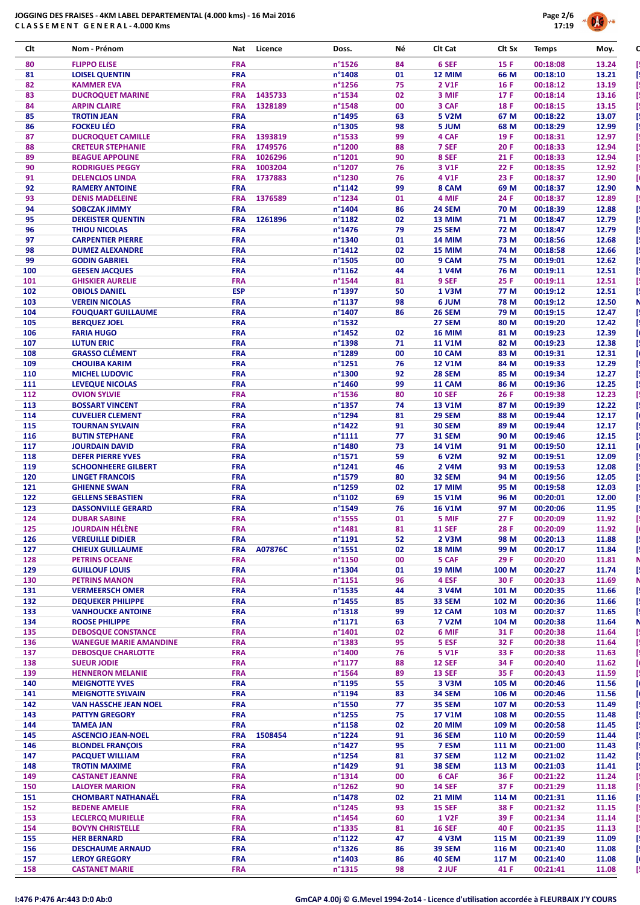

| Clt        | Nom - Prénom                                               | Nat                      | Licence            | Doss.                      | Νé       | Clt Cat                        | Clt Sx         | <b>Temps</b>         | Moy.           |
|------------|------------------------------------------------------------|--------------------------|--------------------|----------------------------|----------|--------------------------------|----------------|----------------------|----------------|
| 80         | <b>FLIPPO ELISE</b>                                        | <b>FRA</b>               |                    | n°1526                     | 84       | 6 SEF                          | 15 F           | 00:18:08             | 13.24          |
| 81         | <b>LOISEL QUENTIN</b>                                      | <b>FRA</b>               |                    | n°1408                     | 01       | 12 MIM                         | 66 M           | 00:18:10             | 13.21          |
| 82         | <b>KAMMER EVA</b>                                          | <b>FRA</b>               |                    | n°1256                     | 75       | 2 V1F                          | 16 F           | 00:18:12             | 13.19          |
| 83<br>84   | <b>DUCROQUET MARINE</b><br><b>ARPIN CLAIRE</b>             | <b>FRA</b><br><b>FRA</b> | 1435733<br>1328189 | n°1534<br>n°1548           | 02<br>00 | 3 MIF<br>3 CAF                 | 17 F<br>18F    | 00:18:14<br>00:18:15 | 13.16<br>13.15 |
| 85         | <b>TROTIN JEAN</b>                                         | <b>FRA</b>               |                    | n°1495                     | 63       | <b>5 V2M</b>                   | 67 M           | 00:18:22             | 13.07          |
| 86         | <b>FOCKEU LÉO</b>                                          | <b>FRA</b>               |                    | n°1305                     | 98       | 5 JUM                          | 68 M           | 00:18:29             | 12.99          |
| 87         | <b>DUCROQUET CAMILLE</b>                                   | <b>FRA</b>               | 1393819            | n°1533                     | 99       | 4 CAF                          | 19 F           | 00:18:31             | 12.97          |
| 88         | <b>CRETEUR STEPHANIE</b>                                   | <b>FRA</b>               | 1749576            | n°1200                     | 88       | 7 SEF                          | 20F            | 00:18:33             | 12.94          |
| 89<br>90   | <b>BEAGUE APPOLINE</b><br><b>RODRIGUES PEGGY</b>           | <b>FRA</b><br><b>FRA</b> | 1026296<br>1003204 | n°1201<br>n°1207           | 90<br>76 | 8 SEF<br>3 V1F                 | 21F<br>22 F    | 00:18:33<br>00:18:35 | 12.94<br>12.92 |
| 91         | <b>DELENCLOS LINDA</b>                                     | <b>FRA</b>               | 1737883            | n°1230                     | 76       | 4 V1F                          | 23 F           | 00:18:37             | 12.90          |
| 92         | <b>RAMERY ANTOINE</b>                                      | <b>FRA</b>               |                    | n°1142                     | 99       | 8 CAM                          | 69 M           | 00:18:37             | 12.90          |
| 93         | <b>DENIS MADELEINE</b>                                     | <b>FRA</b>               | 1376589            | n°1234                     | 01       | 4 MIF                          | 24 F           | 00:18:37             | 12.89          |
| 94         | <b>SOBCZAK JIMMY</b>                                       | <b>FRA</b>               |                    | n°1404                     | 86       | 24 SEM                         | 70 M           | 00:18:39             | 12.88          |
| 95         | <b>DEKEISTER QUENTIN</b>                                   | <b>FRA</b>               | 1261896            | n°1182                     | 02       | 13 MIM                         | 71 M           | 00:18:47             | 12.79          |
| 96         | <b>THIOU NICOLAS</b>                                       | <b>FRA</b>               |                    | n°1476                     | 79       | 25 SEM                         | 72 M           | 00:18:47             | 12.79          |
| 97<br>98   | <b>CARPENTIER PIERRE</b><br><b>DUMEZ ALEXANDRE</b>         | <b>FRA</b><br><b>FRA</b> |                    | n°1340<br>$n^{\circ}$ 1412 | 01<br>02 | <b>14 MIM</b><br>15 MIM        | 73 M<br>74 M   | 00:18:56<br>00:18:58 | 12.68<br>12.66 |
| 99         | <b>GODIN GABRIEL</b>                                       | <b>FRA</b>               |                    | n°1505                     | 00       | 9 CAM                          | 75 M           | 00:19:01             | 12.62          |
| 100        | <b>GEESEN JACQUES</b>                                      | <b>FRA</b>               |                    | n°1162                     | 44       | 1 V4M                          | 76 M           | 00:19:11             | 12.51          |
| 101        | <b>GHISKIER AURELIE</b>                                    | <b>FRA</b>               |                    | n°1544                     | 81       | 9 SEF                          | 25 F           | 00:19:11             | 12.51          |
| 102        | <b>OBIOLS DANIEL</b>                                       | <b>ESP</b>               |                    | n°1397                     | 50       | 1 V3M                          | 77 M           | 00:19:12             | 12.51          |
| 103        | <b>VEREIN NICOLAS</b>                                      | <b>FRA</b>               |                    | n°1137                     | 98       | 6 JUM                          | 78 M           | 00:19:12             | 12.50          |
| 104        | <b>FOUQUART GUILLAUME</b>                                  | <b>FRA</b>               |                    | n°1407                     | 86       | <b>26 SEM</b>                  | 79 M           | 00:19:15             | 12.47          |
| 105<br>106 | <b>BERQUEZ JOEL</b><br><b>FARIA HUGO</b>                   | <b>FRA</b><br><b>FRA</b> |                    | n°1532<br>$n^{\circ}$ 1452 | 02       | 27 SEM<br><b>16 MIM</b>        | 80 M<br>81 M   | 00:19:20<br>00:19:23 | 12.42<br>12.39 |
| 107        | <b>LUTUN ERIC</b>                                          | <b>FRA</b>               |                    | n°1398                     | 71       | <b>11 V1M</b>                  | 82 M           | 00:19:23             | 12.38          |
| 108        | <b>GRASSO CLÉMENT</b>                                      | <b>FRA</b>               |                    | n°1289                     | 00       | 10 CAM                         | 83 M           | 00:19:31             | 12.31          |
| 109        | <b>CHOUIBA KARIM</b>                                       | <b>FRA</b>               |                    | n°1251                     | 76       | <b>12 V1M</b>                  | 84 M           | 00:19:33             | 12.29          |
| 110        | <b>MICHEL LUDOVIC</b>                                      | <b>FRA</b>               |                    | n°1300                     | 92       | 28 SEM                         | 85 M           | 00:19:34             | 12.27          |
| 111        | <b>LEVEQUE NICOLAS</b>                                     | <b>FRA</b>               |                    | n°1460                     | 99       | 11 CAM                         | 86 M           | 00:19:36             | 12.25          |
| 112        | <b>OVION SYLVIE</b>                                        | <b>FRA</b>               |                    | n°1536                     | 80       | <b>10 SEF</b>                  | 26 F           | 00:19:38             | 12.23          |
| 113<br>114 | <b>BOSSART VINCENT</b><br><b>CUVELIER CLEMENT</b>          | <b>FRA</b><br><b>FRA</b> |                    | n°1357<br>n°1294           | 74<br>81 | <b>13 V1M</b><br>29 SEM        | 87 M<br>88 M   | 00:19:39<br>00:19:44 | 12.22<br>12.17 |
| 115        | <b>TOURNAN SYLVAIN</b>                                     | <b>FRA</b>               |                    | n°1422                     | 91       | <b>30 SEM</b>                  | 89 M           | 00:19:44             | 12.17          |
| 116        | <b>BUTIN STEPHANE</b>                                      | <b>FRA</b>               |                    | $n^{\circ}1111$            | 77       | <b>31 SEM</b>                  | 90 M           | 00:19:46             | 12.15          |
| 117        | <b>JOURDAIN DAVID</b>                                      | <b>FRA</b>               |                    | n°1480                     | 73       | <b>14 V1M</b>                  | 91 M           | 00:19:50             | 12.11          |
| 118        | <b>DEFER PIERRE YVES</b>                                   | <b>FRA</b>               |                    | n°1571                     | 59       | 6 V <sub>2</sub> M             | 92 M           | 00:19:51             | 12.09          |
| 119        | <b>SCHOONHEERE GILBERT</b>                                 | <b>FRA</b>               |                    | n°1241                     | 46       | 2 V4M                          | 93 M           | 00:19:53             | 12.08          |
| 120        | <b>LINGET FRANCOIS</b>                                     | <b>FRA</b>               |                    | n°1579                     | 80       | 32 SEM                         | 94 M           | 00:19:56             | 12.05          |
| 121<br>122 | <b>GHIENNE SWAN</b><br><b>GELLENS SEBASTIEN</b>            | <b>FRA</b><br><b>FRA</b> |                    | n°1259<br>n°1102           | 02<br>69 | 17 MIM<br><b>15 V1M</b>        | 95 M<br>96 M   | 00:19:58<br>00:20:01 | 12.03<br>12.00 |
| 123        | <b>DASSONVILLE GERARD</b>                                  | <b>FRA</b>               |                    | n°1549                     | 76       | <b>16 V1M</b>                  | 97 M           | 00:20:06             | 11.95          |
| 124        | <b>DUBAR SABINE</b>                                        | <b>FRA</b>               |                    | n°1555                     | 01       | 5 MIF                          | 27F            | 00:20:09             | 11.92          |
| 125        | <b>JOURDAIN HÉLÈNE</b>                                     | <b>FRA</b>               |                    | n°1481                     | 81       | <b>11 SEF</b>                  | 28 F           | 00:20:09             | 11.92          |
| 126        | <b>VEREUILLE DIDIER</b>                                    | <b>FRA</b>               |                    | n°1191                     | 52       | 2 V3M                          | 98 M           | 00:20:13             | 11.88          |
| 127        | <b>CHIEUX GUILLAUME</b>                                    | <b>FRA</b>               | A07876C            | n°1551                     | 02       | <b>18 MIM</b>                  | 99 M           | 00:20:17             | 11.84          |
| 128        | <b>PETRINS OCEANE</b>                                      | <b>FRA</b>               |                    | $n^{\circ}$ 1150           | 00       | 5 CAF<br><b>19 MIM</b>         | 29 F           | 00:20:20             | 11.81          |
| 129<br>130 | <b>GUILLOUF LOUIS</b><br><b>PETRINS MANON</b>              | <b>FRA</b><br><b>FRA</b> |                    | n°1304<br>n°1151           | 01<br>96 | 4 ESF                          | 100 M<br>30 F  | 00:20:27<br>00:20:33 | 11.74<br>11.69 |
| 131        | <b>VERMEERSCH OMER</b>                                     | <b>FRA</b>               |                    | $n^{\circ}$ 1535           | 44       | 3 V4M                          | 101 M          | 00:20:35             | 11.66          |
| 132        | <b>DEQUEKER PHILIPPE</b>                                   | <b>FRA</b>               |                    | $n^{\circ}$ 1455           | 85       | 33 SEM                         | 102 M          | 00:20:36             | 11.66          |
| 133        | <b>VANHOUCKE ANTOINE</b>                                   | <b>FRA</b>               |                    | $n^{\circ}$ 1318           | 99       | 12 CAM                         | 103 M          | 00:20:37             | 11.65          |
| 134        | <b>ROOSE PHILIPPE</b>                                      | <b>FRA</b>               |                    | $n^{\circ}1171$            | 63       | <b>7 V2M</b>                   | 104 M          | 00:20:38             | 11.64          |
| 135        | <b>DEBOSQUE CONSTANCE</b>                                  | <b>FRA</b>               |                    | n°1401                     | 02       | 6 MIF                          | 31 F           | 00:20:38             | 11.64          |
| 136<br>137 | <b>WANEGUE MARIE AMANDINE</b><br><b>DEBOSQUE CHARLOTTE</b> | <b>FRA</b><br><b>FRA</b> |                    | n°1383<br>n°1400           | 95<br>76 | 5 ESF<br><b>5 V1F</b>          | 32 F<br>33 F   | 00:20:38<br>00:20:38 | 11.64<br>11.63 |
| 138        | <b>SUEUR JODIE</b>                                         | <b>FRA</b>               |                    | $n^{\circ}1177$            | 88       | <b>12 SEF</b>                  | 34 F           | 00:20:40             | 11.62          |
| 139        | <b>HENNERON MELANIE</b>                                    | <b>FRA</b>               |                    | n°1564                     | 89       | <b>13 SEF</b>                  | 35 F           | 00:20:43             | 11.59          |
| 140        | <b>MEIGNOTTE YVES</b>                                      | <b>FRA</b>               |                    | n°1195                     | 55       | 3 V3M                          | 105 M          | 00:20:46             | 11.56          |
| 141        | <b>MEIGNOTTE SYLVAIN</b>                                   | <b>FRA</b>               |                    | n°1194                     | 83       | 34 SEM                         | 106 M          | 00:20:46             | 11.56          |
| 142        | <b>VAN HASSCHE JEAN NOEL</b>                               | <b>FRA</b>               |                    | n°1550                     | 77       | 35 SEM                         | 107 M          | 00:20:53             | 11.49          |
| 143        | <b>PATTYN GREGORY</b>                                      | <b>FRA</b>               |                    | $n^{\circ}$ 1255           | 75       | <b>17 V1M</b>                  | 108 M          | 00:20:55             | 11.48          |
| 144<br>145 | <b>TAMEA JAN</b><br><b>ASCENCIO JEAN-NOEL</b>              | <b>FRA</b><br><b>FRA</b> | 1508454            | $n^{\circ}$ 1158<br>n°1224 | 02<br>91 | <b>20 MIM</b><br><b>36 SEM</b> | 109 M<br>110 M | 00:20:58<br>00:20:59 | 11.45<br>11.44 |
| 146        | <b>BLONDEL FRANÇOIS</b>                                    | <b>FRA</b>               |                    | $n^{\circ}$ 1427           | 95       | 7 ESM                          | 111 M          | 00:21:00             | 11.43          |
| 147        | <b>PACQUET WILLIAM</b>                                     | <b>FRA</b>               |                    | n°1254                     | 81       | 37 SEM                         | 112 M          | 00:21:02             | 11.42          |
| 148        | <b>TROTIN MAXIME</b>                                       | <b>FRA</b>               |                    | n°1429                     | 91       | <b>38 SEM</b>                  | 113 M          | 00:21:03             | 11.41          |
| 149        | <b>CASTANET JEANNE</b>                                     | <b>FRA</b>               |                    | n°1314                     | 00       | 6 CAF                          | 36 F           | 00:21:22             | 11.24          |
| 150        | <b>LALOYER MARION</b>                                      | <b>FRA</b>               |                    | n°1262                     | 90       | <b>14 SEF</b>                  | 37 F           | 00:21:29             | 11.18          |
| 151        | <b>CHOMBART NATHANAËL</b>                                  | <b>FRA</b>               |                    | n°1478                     | 02       | <b>21 MIM</b>                  | 114 M          | 00:21:31             | 11.16          |
| 152<br>153 | <b>BEDENE AMELIE</b><br><b>LECLERCQ MURIELLE</b>           | <b>FRA</b><br><b>FRA</b> |                    | n°1245<br>n°1454           | 93<br>60 | <b>15 SEF</b><br><b>1 V2F</b>  | 38 F<br>39 F   | 00:21:32<br>00:21:34 | 11.15<br>11.14 |
| 154        | <b>BOVYN CHRISTELLE</b>                                    | <b>FRA</b>               |                    | $n^{\circ}$ 1335           | 81       | <b>16 SEF</b>                  | 40 F           | 00:21:35             | 11.13          |
| 155        | <b>HER BERNARD</b>                                         | <b>FRA</b>               |                    | $n^{\circ}1122$            | 47       | 4 V3M                          | 115 M          | 00:21:39             | 11.09          |
| 156        | <b>DESCHAUME ARNAUD</b>                                    | <b>FRA</b>               |                    | $n^{\circ}$ 1326           | 86       | 39 SEM                         | 116 M          | 00:21:40             | 11.08          |
| 157        | <b>LEROY GREGORY</b>                                       | <b>FRA</b>               |                    | n°1403                     | 86       | <b>40 SEM</b>                  | 117 M          | 00:21:40             | 11.08          |
| 158        | <b>CASTANET MARIE</b>                                      | <b>FRA</b>               |                    | n°1315                     | 98       | 2 JUF                          | 41 F           | 00:21:41             | 11.08          |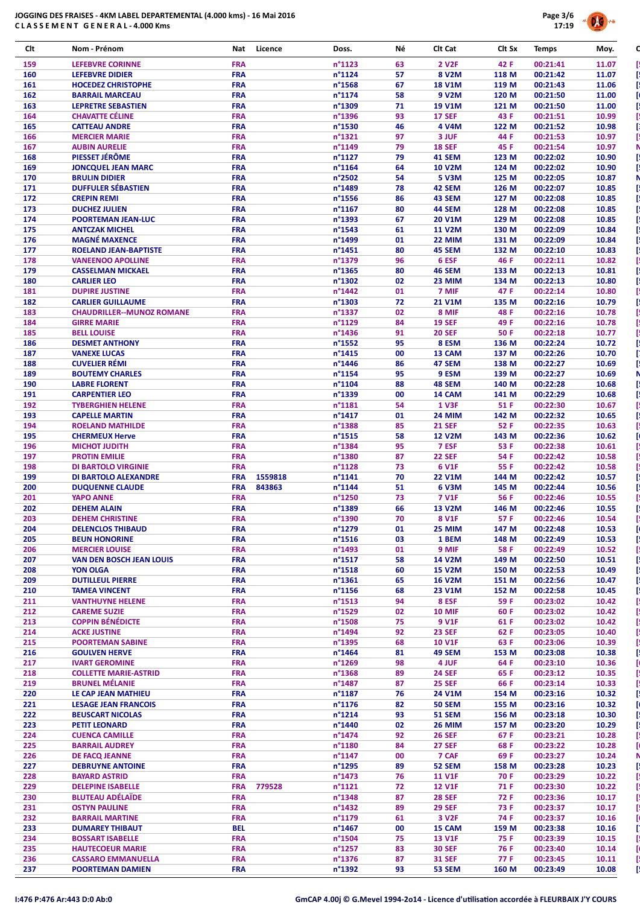

| Clt        | Nom - Prénom                                             | Licence<br>Nat           | Doss.                      | Νé       | Clt Cat                        | Clt Sx         | <b>Temps</b>         | Moy.           |
|------------|----------------------------------------------------------|--------------------------|----------------------------|----------|--------------------------------|----------------|----------------------|----------------|
| 159        | <b>LEFEBVRE CORINNE</b>                                  | <b>FRA</b>               | n°1123                     | 63       | 2 V <sub>2</sub> F             | 42 F           | 00:21:41             | 11.07          |
| 160        | <b>LEFEBVRE DIDIER</b>                                   | <b>FRA</b>               | $n^{\circ}1124$            | 57       | 8 V2M                          | 118 M          | 00:21:42             | 11.07          |
| 161<br>162 | <b>HOCEDEZ CHRISTOPHE</b><br><b>BARRAIL MARCEAU</b>      | <b>FRA</b><br><b>FRA</b> | n°1568<br>$n^{\circ}$ 1174 | 67<br>58 | <b>18 V1M</b><br>9 V2M         | 119 M<br>120 M | 00:21:43<br>00:21:50 | 11.06          |
| 163        | <b>LEPRETRE SEBASTIEN</b>                                | <b>FRA</b>               | n°1309                     | 71       | <b>19 V1M</b>                  | 121 M          | 00:21:50             | 11.00<br>11.00 |
| 164        | <b>CHAVATTE CÉLINE</b>                                   | <b>FRA</b>               | n°1396                     | 93       | <b>17 SEF</b>                  | 43 F           | 00:21:51             | 10.99          |
| 165        | <b>CATTEAU ANDRE</b>                                     | <b>FRA</b>               | n°1530                     | 46       | 4 V4M                          | 122 M          | 00:21:52             | 10.98          |
| 166<br>167 | <b>MERCIER MARIE</b>                                     | <b>FRA</b><br><b>FRA</b> | n°1321<br>n°1149           | 97<br>79 | 3 JUF<br><b>18 SEF</b>         | 44 F<br>45 F   | 00:21:53<br>00:21:54 | 10.97          |
| 168        | <b>AUBIN AURELIE</b><br>PIESSET JÉRÔME                   | <b>FRA</b>               | n°1127                     | 79       | 41 SEM                         | 123 M          | 00:22:02             | 10.97<br>10.90 |
| 169        | <b>JONCOUEL JEAN MARC</b>                                | <b>FRA</b>               | n°1164                     | 64       | <b>10 V2M</b>                  | 124 M          | 00:22:02             | 10.90          |
| 170        | <b>BRULIN DIDIER</b>                                     | <b>FRA</b>               | n°2502                     | 54       | 5 V3M                          | 125 M          | 00:22:05             | 10.87          |
| 171        | <b>DUFFULER SÉBASTIEN</b>                                | <b>FRA</b>               | n°1489                     | 78       | 42 SEM                         | 126 M          | 00:22:07             | 10.85          |
| 172<br>173 | <b>CREPIN REMI</b><br><b>DUCHEZ JULIEN</b>               | <b>FRA</b><br><b>FRA</b> | n°1556<br>n°1167           | 86<br>80 | 43 SEM<br><b>44 SEM</b>        | 127 M<br>128 M | 00:22:08<br>00:22:08 | 10.85<br>10.85 |
| 174        | <b>POORTEMAN JEAN-LUC</b>                                | <b>FRA</b>               | n°1393                     | 67       | <b>20 V1M</b>                  | 129 M          | 00:22:08             | 10.85          |
| 175        | <b>ANTCZAK MICHEL</b>                                    | <b>FRA</b>               | n°1543                     | 61       | <b>11 V2M</b>                  | 130 M          | 00:22:09             | 10.84          |
| 176        | <b>MAGNÉ MAXENCE</b>                                     | <b>FRA</b>               | n°1499                     | 01       | 22 MIM                         | 131 M          | 00:22:09             | 10.84          |
| 177<br>178 | <b>ROELAND JEAN-BAPTISTE</b><br><b>VANEENOO APOLLINE</b> | <b>FRA</b><br><b>FRA</b> | n°1451<br>n°1379           | 80<br>96 | 45 SEM<br>6 ESF                | 132 M<br>46 F  | 00:22:10<br>00:22:11 | 10.83          |
| 179        | <b>CASSELMAN MICKAEL</b>                                 | <b>FRA</b>               | n°1365                     | 80       | <b>46 SEM</b>                  | 133 M          | 00:22:13             | 10.82<br>10.81 |
| 180        | <b>CARLIER LEO</b>                                       | <b>FRA</b>               | n°1302                     | 02       | 23 MIM                         | 134 M          | 00:22:13             | 10.80          |
| 181        | <b>DUPIRE JUSTINE</b>                                    | <b>FRA</b>               | n°1442                     | 01       | 7 MIF                          | 47 F           | 00:22:14             | 10.80          |
| 182        | <b>CARLIER GUILLAUME</b>                                 | <b>FRA</b>               | n°1303                     | 72       | <b>21 V1M</b>                  | 135 M          | 00:22:16             | 10.79          |
| 183<br>184 | <b>CHAUDRILLER--MUNOZ ROMANE</b><br><b>GIRRE MARIE</b>   | <b>FRA</b><br><b>FRA</b> | n°1337<br>n°1129           | 02<br>84 | 8 MIF<br><b>19 SEF</b>         | 48 F<br>49 F   | 00:22:16<br>00:22:16 | 10.78<br>10.78 |
| 185        | <b>BELL LOUISE</b>                                       | <b>FRA</b>               | $n^{\circ}$ 1436           | 91       | <b>20 SEF</b>                  | 50 F           | 00:22:18             | 10.77          |
| 186        | <b>DESMET ANTHONY</b>                                    | <b>FRA</b>               | n°1552                     | 95       | 8 ESM                          | 136 M          | 00:22:24             | 10.72          |
| 187        | <b>VANEXE LUCAS</b>                                      | <b>FRA</b>               | $n^{\circ}$ 1415           | 00       | 13 CAM                         | 137 M          | 00:22:26             | 10.70          |
| 188        | <b>CUVELIER RÉMI</b>                                     | <b>FRA</b>               | n°1446                     | 86       | 47 SEM                         | 138 M          | 00:22:27             | 10.69          |
| 189<br>190 | <b>BOUTEMY CHARLES</b><br><b>LABRE FLORENT</b>           | <b>FRA</b><br><b>FRA</b> | n°1154<br>n°1104           | 95<br>88 | 9 ESM<br>48 SEM                | 139 M<br>140 M | 00:22:27             | 10.69          |
| 191        | <b>CARPENTIER LEO</b>                                    | <b>FRA</b>               | n°1339                     | 00       | 14 CAM                         | 141 M          | 00:22:28<br>00:22:29 | 10.68<br>10.68 |
| 192        | <b>TYBERGHIEN HELENE</b>                                 | <b>FRA</b>               | n°1181                     | 54       | <b>1 V3F</b>                   | 51 F           | 00:22:30             | 10.67          |
| 193        | <b>CAPELLE MARTIN</b>                                    | <b>FRA</b>               | n°1417                     | 01       | <b>24 MIM</b>                  | 142 M          | 00:22:32             | 10.65          |
| 194        | <b>ROELAND MATHILDE</b>                                  | <b>FRA</b>               | n°1388                     | 85       | <b>21 SEF</b>                  | 52 F           | 00:22:35             | 10.63          |
| 195<br>196 | <b>CHERMEUX Herve</b><br><b>MICHOT JUDITH</b>            | <b>FRA</b><br><b>FRA</b> | n°1515<br>n°1384           | 58<br>95 | <b>12 V2M</b><br>7 ESF         | 143 M<br>53 F  | 00:22:36<br>00:22:38 | 10.62<br>10.61 |
| 197        | <b>PROTIN EMILIE</b>                                     | <b>FRA</b>               | n°1380                     | 87       | <b>22 SEF</b>                  | 54 F           | 00:22:42             | 10.58          |
| 198        | <b>DI BARTOLO VIRGINIE</b>                               | <b>FRA</b>               | n°1128                     | 73       | 6 V1F                          | 55 F           | 00:22:42             | 10.58          |
| 199        | DI BARTOLO ALEXANDRE                                     | <b>FRA</b><br>1559818    | n°1141                     | 70       | <b>22 V1M</b>                  | 144 M          | 00:22:42             | 10.57          |
| 200        | <b>DUQUENNE CLAUDE</b>                                   | <b>FRA</b><br>843863     | n°1144                     | 51       | 6 V3M                          | 145 M          | 00:22:44             | 10.56          |
| 201<br>202 | <b>YAPO ANNE</b><br><b>DEHEM ALAIN</b>                   | <b>FRA</b><br><b>FRA</b> | n°1250<br>n°1389           | 73<br>66 | 7 V1F<br><b>13 V2M</b>         | 56 F<br>146 M  | 00:22:46<br>00:22:46 | 10.55<br>10.55 |
| 203        | <b>DEHEM CHRISTINE</b>                                   | <b>FRA</b>               | n°1390                     | 70       | 8 V1F                          | 57 F           | 00:22:46             | 10.54          |
| 204        | <b>DELENCLOS THIBAUD</b>                                 | <b>FRA</b>               | n°1279                     | 01       | 25 MIM                         | 147 M          | 00:22:48             | 10.53          |
| 205        | <b>BEUN HONORINE</b>                                     | <b>FRA</b>               | $n^{\circ}$ 1516           | 03       | 1 BEM                          | 148 M          | 00:22:49             | 10.53          |
| 206        | <b>MERCIER LOUISE</b>                                    | <b>FRA</b><br><b>FRA</b> | n°1493<br>$n^{\circ}$ 1517 | 01       | 9 MIF                          | 58 F<br>149 M  | 00:22:49<br>00:22:50 | 10.52          |
| 207<br>208 | <b>VAN DEN BOSCH JEAN LOUIS</b><br><b>YON OLGA</b>       | <b>FRA</b>               | $n^{\circ}$ 1518           | 58<br>60 | <b>14 V2M</b><br><b>15 V2M</b> | 150 M          | 00:22:53             | 10.51<br>10.49 |
| 209        | <b>DUTILLEUL PIERRE</b>                                  | <b>FRA</b>               | $n^{\circ}$ 1361           | 65       | <b>16 V2M</b>                  | 151 M          | 00:22:56             | 10.47          |
| 210        | <b>TAMEA VINCENT</b>                                     | <b>FRA</b>               | $n^{\circ}$ 1156           | 68       | 23 V1M                         | 152 M          | 00:22:58             | 10.45          |
| 211        | <b>VANTHUYNE HELENE</b>                                  | <b>FRA</b>               | $n^{\circ}$ 1513           | 94       | 8 ESF                          | 59 F           | 00:23:02             | 10.42          |
| 212        | <b>CAREME SUZIE</b>                                      | <b>FRA</b>               | n°1529                     | 02       | <b>10 MIF</b>                  | 60 F           | 00:23:02             | 10.42          |
| 213<br>214 | <b>COPPIN BÉNÉDICTE</b><br><b>ACKE JUSTINE</b>           | <b>FRA</b><br><b>FRA</b> | n°1508<br>n°1494           | 75<br>92 | 9 V1F<br><b>23 SEF</b>         | 61 F<br>62 F   | 00:23:02<br>00:23:05 | 10.42<br>10.40 |
|            |                                                          |                          |                            |          |                                |                | 00:23:06             | 10.39          |
| 215        | <b>POORTEMAN SABINE</b>                                  | <b>FRA</b>               | n°1395                     | 68       | <b>10 V1F</b>                  | 63 F           |                      |                |
| 216        | <b>GOULVEN HERVE</b>                                     | <b>FRA</b>               | n°1464                     | 81       | 49 SEM                         | 153 M          | 00:23:08             | 10.38          |
| 217        | <b>IVART GEROMINE</b>                                    | <b>FRA</b>               | n°1269                     | 98       | 4 JUF                          | 64 F           | 00:23:10             | 10.36          |
| 218        | <b>COLLETTE MARIE-ASTRID</b>                             | <b>FRA</b>               | $n^{\circ}$ 1368           | 89       | <b>24 SEF</b>                  | 65 F           | 00:23:12             | 10.35          |
| 219        | <b>BRUNEL MÉLANIE</b>                                    | <b>FRA</b>               | n°1487                     | 87       | <b>25 SEF</b>                  | 66 F           | 00:23:14             | 10.33          |
| 220<br>221 | LE CAP JEAN MATHIEU<br><b>LESAGE JEAN FRANCOIS</b>       | <b>FRA</b><br><b>FRA</b> | n°1187<br>n°1176           | 76<br>82 | 24 V1M<br><b>50 SEM</b>        | 154 M<br>155 M | 00:23:16<br>00:23:16 | 10.32<br>10.32 |
| 222        | <b>BEUSCART NICOLAS</b>                                  | <b>FRA</b>               | $n^{\circ}$ 1214           | 93       | <b>51 SEM</b>                  | 156 M          | 00:23:18             | 10.30          |
| 223        | <b>PETIT LEONARD</b>                                     | <b>FRA</b>               | n°1440                     | 02       | <b>26 MIM</b>                  | 157 M          | 00:23:20             | 10.29          |
| 224        | <b>CUENCA CAMILLE</b>                                    | <b>FRA</b>               | n°1474                     | 92       | <b>26 SEF</b>                  | 67 F           | 00:23:21             | 10.28          |
| 225        | <b>BARRAIL AUDREY</b>                                    | <b>FRA</b>               | n°1180                     | 84       | <b>27 SEF</b>                  | 68 F           | 00:23:22             | 10.28          |
| 226<br>227 | DE FACQ JEANNE<br><b>DEBRUYNE ANTOINE</b>                | <b>FRA</b><br><b>FRA</b> | $n^{\circ}$ 1147<br>n°1295 | 00<br>89 | 7 CAF<br>52 SEM                | 69 F<br>158 M  | 00:23:27<br>00:23:28 | 10.24<br>10.23 |
| 228        | <b>BAYARD ASTRID</b>                                     | <b>FRA</b>               | $n^{\circ}$ 1473           | 76       | <b>11 V1F</b>                  | 70 F           | 00:23:29             | 10.22          |
| 229        | <b>DELEPINE ISABELLE</b>                                 | 779528<br><b>FRA</b>     | n°1121                     | 72       | <b>12 V1F</b>                  | 71 F           | 00:23:30             | 10.22          |
| 230        | <b>BLUTEAU ADÉLAÏDE</b>                                  | <b>FRA</b>               | n°1348                     | 87       | <b>28 SEF</b>                  | 72 F           | 00:23:36             | 10.17          |
| 231        | <b>OSTYN PAULINE</b>                                     | <b>FRA</b>               | n°1432                     | 89       | <b>29 SEF</b>                  | 73 F           | 00:23:37             | 10.17          |
| 232<br>233 | <b>BARRAIL MARTINE</b><br><b>DUMAREY THIBAUT</b>         | <b>FRA</b><br><b>BEL</b> | n°1179<br>n°1467           | 61<br>00 | 3 V <sub>2F</sub><br>15 CAM    | 74 F<br>159 M  | 00:23:37<br>00:23:38 | 10.16<br>10.16 |
| 234        | <b>BOSSART ISABELLE</b>                                  | <b>FRA</b>               | n°1504                     | 75       | <b>13 V1F</b>                  | 75 F           | 00:23:39             | 10.15          |
| 235        | <b>HAUTECOEUR MARIE</b>                                  | <b>FRA</b>               | $n^{\circ}$ 1257           | 83       | <b>30 SEF</b>                  | 76 F           | 00:23:40             | 10.14          |
| 236<br>237 | <b>CASSARO EMMANUELLA</b><br><b>POORTEMAN DAMIEN</b>     | <b>FRA</b><br><b>FRA</b> | $n^{\circ}$ 1376<br>n°1392 | 87<br>93 | <b>31 SEF</b><br>53 SEM        | 77 F<br>160 M  | 00:23:45<br>00:23:49 | 10.11<br>10.08 |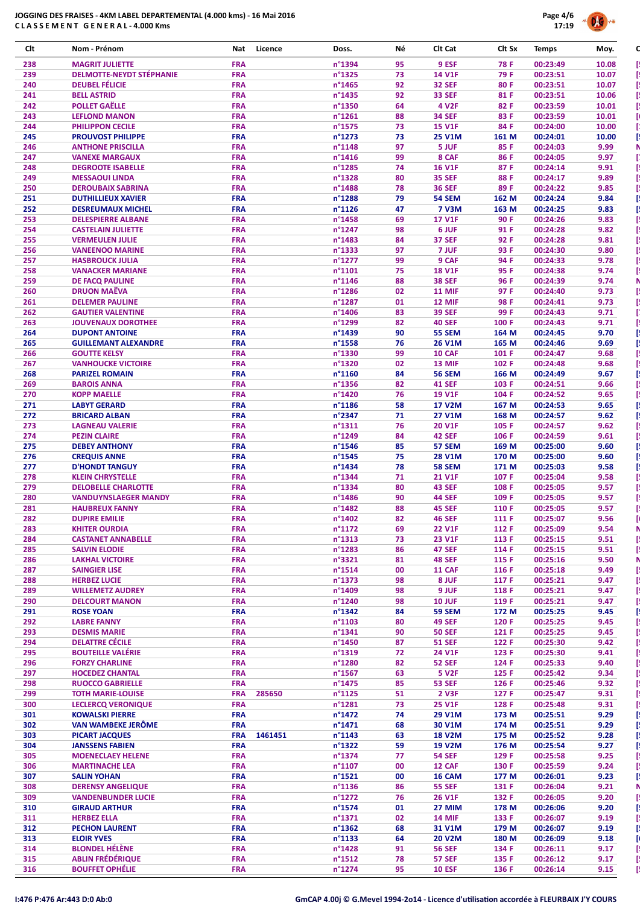

| Clt        | Nom - Prénom                                       | Licence<br>Nat                      | Doss.                      | Νé       | Clt Cat                        | Clt Sx         | <b>Temps</b>         | Moy.           |
|------------|----------------------------------------------------|-------------------------------------|----------------------------|----------|--------------------------------|----------------|----------------------|----------------|
| 238        | <b>MAGRIT JULIETTE</b>                             | <b>FRA</b>                          | n°1394                     | 95       | 9 ESF                          | 78 F           | 00:23:49             | 10.08          |
| 239        | <b>DELMOTTE-NEYDT STÉPHANIE</b>                    | <b>FRA</b>                          | n°1325                     | 73       | <b>14 V1F</b>                  | 79 F           | 00:23:51             | 10.07          |
| 240        | <b>DEUBEL FÉLICIE</b>                              | <b>FRA</b>                          | n°1465                     | 92       | <b>32 SEF</b>                  | 80F            | 00:23:51             | 10.07          |
| 241<br>242 | <b>BELL ASTRID</b><br><b>POLLET GAËLLE</b>         | <b>FRA</b><br><b>FRA</b>            | n°1435<br>n°1350           | 92<br>64 | <b>33 SEF</b><br>4 V2F         | 81 F<br>82F    | 00:23:51<br>00:23:59 | 10.06<br>10.01 |
| 243        | <b>LEFLOND MANON</b>                               | <b>FRA</b>                          | n°1261                     | 88       | <b>34 SEF</b>                  | 83 F           | 00:23:59             | 10.01          |
| 244        | <b>PHILIPPON CECILE</b>                            | <b>FRA</b>                          | n°1575                     | 73       | <b>15 V1F</b>                  | 84 F           | 00:24:00             | 10.00          |
| 245        | <b>PROUVOST PHILIPPE</b>                           | <b>FRA</b>                          | n°1273                     | 73       | <b>25 V1M</b>                  | 161 M          | 00:24:01             | 10.00          |
| 246        | <b>ANTHONE PRISCILLA</b>                           | <b>FRA</b>                          | n°1148                     | 97       | 5 JUF                          | 85 F           | 00:24:03             | 9.99           |
| 247        | <b>VANEXE MARGAUX</b>                              | <b>FRA</b>                          | $n^{\circ}$ 1416           | 99       | 8 CAF                          | 86 F           | 00:24:05             | 9.97           |
| 248        | <b>DEGROOTE ISABELLE</b>                           | <b>FRA</b>                          | n°1285                     | 74       | <b>16 V1F</b>                  | 87F            | 00:24:14             | 9.91           |
| 249<br>250 | <b>MESSAOUI LINDA</b><br><b>DEROUBAIX SABRINA</b>  | <b>FRA</b><br><b>FRA</b>            | n°1328<br>n°1488           | 80<br>78 | <b>35 SEF</b><br><b>36 SEF</b> | 88 F<br>89F    | 00:24:17<br>00:24:22 | 9.89<br>9.85   |
| 251        | <b>DUTHILLIEUX XAVIER</b>                          | <b>FRA</b>                          | n°1288                     | 79       | <b>54 SEM</b>                  | 162 M          | 00:24:24             | 9.84           |
| 252        | <b>DESREUMAUX MICHEL</b>                           | <b>FRA</b>                          | $n^{\circ}1126$            | 47       | <b>7 V3M</b>                   | 163 M          | 00:24:25             | 9.83           |
| 253        | <b>DELESPIERRE ALBANE</b>                          | <b>FRA</b>                          | n°1458                     | 69       | <b>17 V1F</b>                  | 90 F           | 00:24:26             | 9.83           |
| 254        | <b>CASTELAIN JULIETTE</b>                          | <b>FRA</b>                          | n°1247                     | 98       | 6 JUF                          | 91 F           | 00:24:28             | 9.82           |
| 255        | <b>VERMEULEN JULIE</b>                             | <b>FRA</b>                          | n°1483                     | 84       | <b>37 SEF</b>                  | 92 F           | 00:24:28             | 9.81           |
| 256        | <b>VANEENOO MARINE</b>                             | <b>FRA</b>                          | n°1333                     | 97       | 7 JUF                          | 93 F           | 00:24:30             | 9.80           |
| 257        | <b>HASBROUCK JULIA</b>                             | <b>FRA</b>                          | n°1277                     | 99       | 9 CAF                          | 94 F           | 00:24:33             | 9.78           |
| 258<br>259 | <b>VANACKER MARIANE</b><br><b>DE FACQ PAULINE</b>  | <b>FRA</b><br><b>FRA</b>            | n°1101<br>$n^{\circ}$ 1146 | 75<br>88 | <b>18 V1F</b><br><b>38 SEF</b> | 95 F<br>96 F   | 00:24:38<br>00:24:39 | 9.74<br>9.74   |
| 260        | <b>DRUON MAËVA</b>                                 | <b>FRA</b>                          | n°1286                     | 02       | <b>11 MIF</b>                  | 97 F           | 00:24:40             | 9.73           |
| 261        | <b>DELEMER PAULINE</b>                             | <b>FRA</b>                          | n°1287                     | 01       | 12 MIF                         | 98 F           | 00:24:41             | 9.73           |
| 262        | <b>GAUTIER VALENTINE</b>                           | <b>FRA</b>                          | n°1406                     | 83       | <b>39 SEF</b>                  | 99 F           | 00:24:43             | 9.71           |
| 263        | <b>JOUVENAUX DOROTHEE</b>                          | <b>FRA</b>                          | n°1299                     | 82       | <b>40 SEF</b>                  | 100 F          | 00:24:43             | 9.71           |
| 264        | <b>DUPONT ANTOINE</b>                              | <b>FRA</b>                          | n°1439                     | 90       | <b>55 SEM</b>                  | 164 M          | 00:24:45             | 9.70           |
| 265        | <b>GUILLEMANT ALEXANDRE</b>                        | <b>FRA</b>                          | n°1558                     | 76       | <b>26 V1M</b>                  | 165 M          | 00:24:46             | 9.69           |
| 266        | <b>GOUTTE KELSY</b>                                | <b>FRA</b>                          | n°1330                     | 99       | 10 CAF                         | 101 F          | 00:24:47             | 9.68           |
| 267<br>268 | <b>VANHOUCKE VICTOIRE</b>                          | <b>FRA</b><br><b>FRA</b>            | n°1320<br>n°1160           | 02<br>84 | 13 MIF<br><b>56 SEM</b>        | 102 F<br>166 M | 00:24:48<br>00:24:49 | 9.68<br>9.67   |
| 269        | <b>PARIZEL ROMAIN</b><br><b>BAROIS ANNA</b>        | <b>FRA</b>                          | n°1356                     | 82       | <b>41 SEF</b>                  | 103 F          | 00:24:51             | 9.66           |
| 270        | <b>KOPP MAELLE</b>                                 | <b>FRA</b>                          | n°1420                     | 76       | <b>19 V1F</b>                  | 104 F          | 00:24:52             | 9.65           |
| 271        | <b>LABYT GERARD</b>                                | <b>FRA</b>                          | n°1186                     | 58       | <b>17 V2M</b>                  | 167 M          | 00:24:53             | 9.65           |
| 272        | <b>BRICARD ALBAN</b>                               | <b>FRA</b>                          | n°2347                     | 71       | <b>27 V1M</b>                  | 168 M          | 00:24:57             | 9.62           |
| 273        | <b>LAGNEAU VALERIE</b>                             | <b>FRA</b>                          | n°1311                     | 76       | 20 V1F                         | 105 F          | 00:24:57             | 9.62           |
| 274        | <b>PEZIN CLAIRE</b>                                | <b>FRA</b>                          | n°1249                     | 84       | <b>42 SEF</b>                  | 106 F          | 00:24:59             | 9.61           |
| 275        | <b>DEBEY ANTHONY</b>                               | <b>FRA</b>                          | n°1546                     | 85       | 57 SEM                         | 169 M          | 00:25:00             | 9.60           |
| 276<br>277 | <b>CREQUIS ANNE</b><br><b>D'HONDT TANGUY</b>       | <b>FRA</b><br><b>FRA</b>            | n°1545<br>n°1434           | 75<br>78 | <b>28 V1M</b><br><b>58 SEM</b> | 170 M<br>171 M | 00:25:00<br>00:25:03 | 9.60<br>9.58   |
| 278        | <b>KLEIN CHRYSTELLE</b>                            | <b>FRA</b>                          | n°1344                     | 71       | <b>21 V1F</b>                  | 107 F          | 00:25:04             | 9.58           |
| 279        | <b>DELOBELLE CHARLOTTE</b>                         | <b>FRA</b>                          | n°1334                     | 80       | <b>43 SEF</b>                  | 108 F          | 00:25:05             | 9.57           |
| 280        | <b>VANDUYNSLAEGER MANDY</b>                        | <b>FRA</b>                          | n°1486                     | 90       | <b>44 SEF</b>                  | 109 F          | 00:25:05             | 9.57           |
| 281        | <b>HAUBREUX FANNY</b>                              | <b>FRA</b>                          | n°1482                     | 88       | <b>45 SEF</b>                  | 110 F          | 00:25:05             | 9.57           |
| 282        | <b>DUPIRE EMILIE</b>                               | <b>FRA</b>                          | n°1402                     | 82       | 46 SEF                         | 111 F          | 00:25:07             | 9.56           |
| 283        | <b>KHITER OURDIA</b>                               | <b>FRA</b>                          | $n^{\circ}1172$            | 69       | <b>22 V1F</b>                  | 112 F          | 00:25:09             | 9.54           |
| 284        | <b>CASTANET ANNABELLE</b>                          | <b>FRA</b>                          | n°1313                     | 73       | <b>23 V1F</b>                  | 113 F          | 00:25:15             | 9.51           |
| 285<br>286 | <b>SALVIN ELODIE</b><br><b>LAKHAL VICTOIRE</b>     | <b>FRA</b><br><b>FRA</b>            | n°1283<br>n°3321           | 86<br>81 | <b>47 SEF</b><br><b>48 SEF</b> | 114 F<br>115 F | 00:25:15<br>00:25:16 | 9.51<br>9.50   |
| 287        | <b>SAINGIER LISE</b>                               | <b>FRA</b>                          | $n^{\circ}$ 1514           | 00       | 11 CAF                         | 116 F          | 00:25:18             | 9.49           |
| 288        | <b>HERBEZ LUCIE</b>                                | <b>FRA</b>                          | n°1373                     | 98       | 8 JUF                          | 117 F          | 00:25:21             | 9.47           |
| 289        | <b>WILLEMETZ AUDREY</b>                            | <b>FRA</b>                          | n°1409                     | 98       | 9 JUF                          | 118 F          | 00:25:21             | 9.47           |
| 290        | <b>DELCOURT MANON</b>                              | <b>FRA</b>                          | n°1240                     | 98       | <b>10 JUF</b>                  | 119 F          | 00:25:21             | 9.47           |
| 291        | <b>ROSE YOAN</b>                                   | <b>FRA</b>                          | $n^{\circ}$ 1342           | 84       | <b>59 SEM</b>                  | 172 M          | 00:25:25             | 9.45           |
| 292        | <b>LABRE FANNY</b>                                 | <b>FRA</b>                          | $n^{\circ}1103$            | 80       | <b>49 SEF</b>                  | 120 F          | 00:25:25             | 9.45           |
| 293        | <b>DESMIS MARIE</b>                                | <b>FRA</b>                          | n°1341                     | 90       | <b>50 SEF</b>                  | 121 F          | 00:25:25             | 9.45           |
| 294<br>295 | <b>DELATTRE CÉCILE</b><br><b>BOUTEILLE VALÉRIE</b> | <b>FRA</b><br><b>FRA</b>            | n°1450<br>n°1319           | 87<br>72 | <b>51 SEF</b><br>24 V1F        | 122 F<br>123 F | 00:25:30<br>00:25:30 | 9.42<br>9.41   |
| 296        | <b>FORZY CHARLINE</b>                              | <b>FRA</b>                          | n°1280                     | 82       | <b>52 SEF</b>                  | 124 F          | 00:25:33             | 9.40           |
| 297        | <b>HOCEDEZ CHANTAL</b>                             | <b>FRA</b>                          | $n^{\circ}$ 1567           | 63       | <b>5 V2F</b>                   | 125 F          | 00:25:42             | 9.34           |
| 298        | <b>RUOCCO GABRIELLE</b>                            | <b>FRA</b>                          | $n^{\circ}$ 1475           | 85       | <b>53 SEF</b>                  | 126 F          | 00:25:46             | 9.32           |
| 299        | <b>TOTH MARIE-LOUISE</b>                           | <b>FRA</b><br>285650                | $n^{\circ}$ 1125           | 51       | 2 V3F                          | 127 F          | 00:25:47             | 9.31           |
| 300        | <b>LECLERCQ VERONIQUE</b>                          | <b>FRA</b>                          | n°1281                     | 73       | <b>25 V1F</b>                  | 128 F          | 00:25:48             | 9.31           |
| 301        | <b>KOWALSKI PIERRE</b>                             | <b>FRA</b>                          | n°1472                     | 74       | <b>29 V1M</b>                  | 173 M          | 00:25:51             | 9.29           |
| 302        | <b>VAN WAMBEKE JERÔME</b>                          | <b>FRA</b>                          | n°1471                     | 68       | 30 V1M                         | 174 M          | 00:25:51             | 9.29           |
| 303<br>304 | <b>PICART JACQUES</b><br><b>JANSSENS FABIEN</b>    | <b>FRA</b><br>1461451<br><b>FRA</b> | $n^{\circ}$ 1143<br>n°1322 | 63<br>59 | <b>18 V2M</b><br>19 V2M        | 175 M<br>176 M | 00:25:52<br>00:25:54 | 9.28<br>9.27   |
| 305        | <b>MOENECLAEY HELENE</b>                           | <b>FRA</b>                          | n°1374                     | 77       | <b>54 SEF</b>                  | 129 F          | 00:25:58             | 9.25           |
| 306        | <b>MARTINACHE LEA</b>                              | <b>FRA</b>                          | n°1107                     | 00       | 12 CAF                         | 130 F          | 00:25:59             | 9.24           |
| 307        | <b>SALIN YOHAN</b>                                 | <b>FRA</b>                          | $n^{\circ}$ 1521           | 00       | 16 CAM                         | 177 M          | 00:26:01             | 9.23           |
| 308        | <b>DERENSY ANGELIQUE</b>                           | <b>FRA</b>                          | $n^{\circ}$ 1136           | 86       | <b>55 SEF</b>                  | 131 F          | 00:26:04             | 9.21           |
| 309        | <b>VANDENBUNDER LUCIE</b>                          | <b>FRA</b>                          | n°1272                     | 76       | 26 V1F                         | 132 F          | 00:26:05             | 9.20           |
| 310        | <b>GIRAUD ARTHUR</b>                               | <b>FRA</b>                          | n°1574                     | 01       | 27 MIM                         | 178 M          | 00:26:06             | 9.20           |
| 311        | <b>HERBEZ ELLA</b>                                 | <b>FRA</b>                          | n°1371                     | 02       | <b>14 MIF</b>                  | 133 F          | 00:26:07             | 9.19           |
| 312        | <b>PECHON LAURENT</b>                              | <b>FRA</b>                          | $n^{\circ}$ 1362           | 68       | 31 V1M                         | 179 M          | 00:26:07             | 9.19           |
| 313        | <b>ELOIR YVES</b><br><b>BLONDEL HÉLÈNE</b>         | <b>FRA</b><br><b>FRA</b>            | $n^{\circ}$ 1133<br>n°1428 | 64<br>91 | <b>20 V2M</b><br><b>56 SEF</b> | 180 M<br>134 F | 00:26:09<br>00:26:11 | 9.18<br>9.17   |
| 314<br>315 | <b>ABLIN FRÉDÉRIQUE</b>                            | <b>FRA</b>                          | $n^{\circ}$ 1512           | 78       | <b>57 SEF</b>                  | 135 F          | 00:26:12             | 9.17           |
| 316        | <b>BOUFFET OPHÉLIE</b>                             | <b>FRA</b>                          | $n^{\circ}$ 1274           | 95       | <b>10 ESF</b>                  | 136 F          | 00:26:14             | 9.15           |
|            |                                                    |                                     |                            |          |                                |                |                      |                |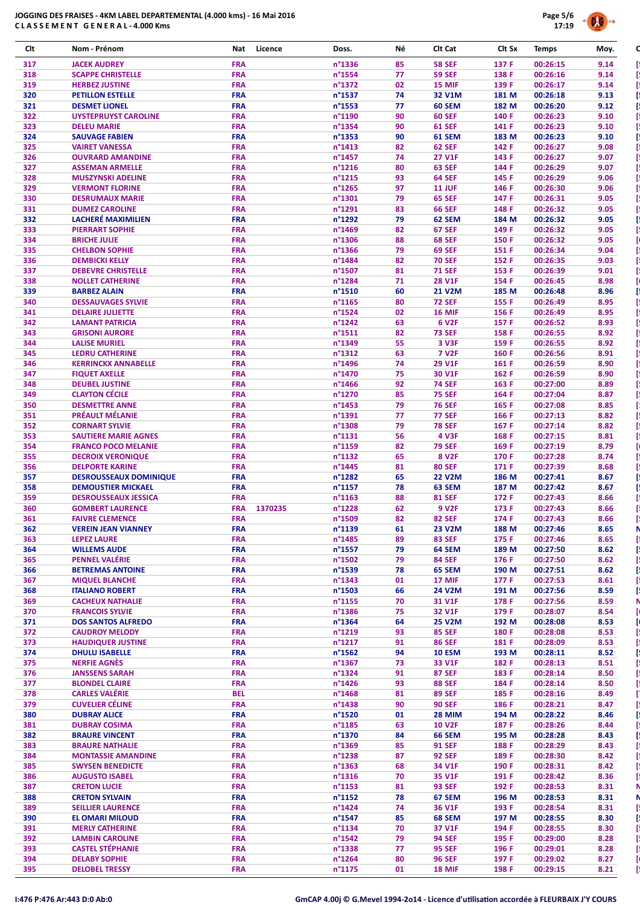

| Clt        | Nom - Prénom                                           | Nat                      | Licence<br>Doss.                                | Νé       | Clt Cat                            | Clt Sx         | <b>Temps</b>         | Moy.         |
|------------|--------------------------------------------------------|--------------------------|-------------------------------------------------|----------|------------------------------------|----------------|----------------------|--------------|
| 317        | <b>JACEK AUDREY</b>                                    | <b>FRA</b>               | n°1336                                          | 85       | <b>58 SEF</b>                      | 137 F          | 00:26:15             | 9.14         |
| 318        | <b>SCAPPE CHRISTELLE</b>                               | <b>FRA</b>               | n°1554                                          | 77       | <b>59 SEF</b>                      | 138 F          | 00:26:16             | 9.14         |
| 319        | <b>HERBEZ JUSTINE</b>                                  | <b>FRA</b>               | n°1372                                          | 02       | <b>15 MIF</b>                      | 139 F          | 00:26:17             | 9.14         |
| 320        | <b>PETILLON ESTELLE</b>                                | <b>FRA</b>               | n°1537                                          | 74       | 32 V1M                             | 181 M          | 00:26:18             | 9.13         |
| 321<br>322 | <b>DESMET LIONEL</b><br><b>UYSTEPRUYST CAROLINE</b>    | <b>FRA</b><br><b>FRA</b> | n°1553<br>n°1190                                | 77<br>90 | 60 SEM<br><b>60 SEF</b>            | 182 M<br>140 F | 00:26:20<br>00:26:23 | 9.12<br>9.10 |
| 323        | <b>DELEU MARIE</b>                                     | <b>FRA</b>               | n°1354                                          | 90       | <b>61 SEF</b>                      | 141 F          | 00:26:23             | 9.10         |
| 324        | <b>SAUVAGE FABIEN</b>                                  | <b>FRA</b>               | n°1353                                          | 90       | 61 SEM                             | 183 M          | 00:26:23             | 9.10         |
| 325        | <b>VAIRET VANESSA</b>                                  | <b>FRA</b>               | $n^{\circ}$ 1413                                | 82       | <b>62 SEF</b>                      | 142 F          | 00:26:27             | 9.08         |
| 326        | <b>OUVRARD AMANDINE</b>                                | <b>FRA</b>               | n°1457                                          | 74       | 27 V1F                             | 143 F          | 00:26:27             | 9.07         |
| 327        | <b>ASSEMAN ARMELLE</b>                                 | <b>FRA</b>               | $n^{\circ}$ 1216                                | 80       | <b>63 SEF</b>                      | 144 F          | 00:26:29             | 9.07         |
| 328        | <b>MUSZYNSKI ADELINE</b>                               | <b>FRA</b>               | n°1215                                          | 93       | <b>64 SEF</b>                      | 145 F          | 00:26:29             | 9.06         |
| 329        | <b>VERMONT FLORINE</b>                                 | <b>FRA</b>               | n°1265                                          | 97       | <b>11 JUF</b>                      | 146 F          | 00:26:30             | 9.06         |
| 330        | <b>DESRUMAUX MARIE</b>                                 | <b>FRA</b>               | n°1301                                          | 79       | <b>65 SEF</b>                      | 147 F          | 00:26:31             | 9.05         |
| 331<br>332 | <b>DUMEZ CAROLINE</b><br>LACHERÉ MAXIMILIEN            | <b>FRA</b><br><b>FRA</b> | n°1291<br>n°1292                                | 83<br>79 | <b>66 SEF</b><br>62 SEM            | 148 F<br>184 M | 00:26:32<br>00:26:32 | 9.05<br>9.05 |
| 333        | <b>PIERRART SOPHIE</b>                                 | <b>FRA</b>               | n°1469                                          | 82       | <b>67 SEF</b>                      | 149 F          | 00:26:32             | 9.05         |
| 334        | <b>BRICHE JULIE</b>                                    | <b>FRA</b>               | n°1306                                          | 88       | <b>68 SEF</b>                      | 150 F          | 00:26:32             | 9.05         |
| 335        | <b>CHELBON SOPHIE</b>                                  | <b>FRA</b>               | n°1366                                          | 79       | <b>69 SEF</b>                      | 151 F          | 00:26:34             | 9.04         |
| 336        | <b>DEMBICKI KELLY</b>                                  | <b>FRA</b>               | n°1484                                          | 82       | <b>70 SEF</b>                      | 152 F          | 00:26:35             | 9.03         |
| 337        | <b>DEBEVRE CHRISTELLE</b>                              | <b>FRA</b>               | n°1507                                          | 81       | <b>71 SEF</b>                      | 153 F          | 00:26:39             | 9.01         |
| 338        | <b>NOLLET CATHERINE</b>                                | <b>FRA</b>               | n°1284                                          | 71       | <b>28 V1F</b>                      | 154 F          | 00:26:45             | 8.98         |
| 339        | <b>BARBEZ ALAIN</b>                                    | <b>FRA</b>               | n°1510                                          | 60       | <b>21 V2M</b>                      | 185 M          | 00:26:48             | 8.96         |
| 340        | <b>DESSAUVAGES SYLVIE</b>                              | <b>FRA</b><br><b>FRA</b> | $n^{\circ}$ 1165                                | 80       | <b>72 SEF</b>                      | 155 F<br>156 F | 00:26:49<br>00:26:49 | 8.95         |
| 341<br>342 | <b>DELAIRE JULIETTE</b><br><b>LAMANT PATRICIA</b>      | <b>FRA</b>               | n°1524<br>n°1242                                | 02<br>63 | <b>16 MIF</b><br><b>6 V2F</b>      | 157 F          | 00:26:52             | 8.95<br>8.93 |
| 343        | <b>GRISONI AURORE</b>                                  | <b>FRA</b>               | n°1511                                          | 82       | <b>73 SEF</b>                      | 158 F          | 00:26:55             | 8.92         |
| 344        | <b>LALISE MURIEL</b>                                   | <b>FRA</b>               | n°1349                                          | 55       | 3 V3F                              | 159 F          | 00:26:55             | 8.92         |
| 345        | <b>LEDRU CATHERINE</b>                                 | <b>FRA</b>               | n°1312                                          | 63       | <b>7 V2F</b>                       | 160 F          | 00:26:56             | 8.91         |
| 346        | <b>KERRINCKX ANNABELLE</b>                             | <b>FRA</b>               | n°1496                                          | 74       | 29 V1F                             | 161 F          | 00:26:59             | 8.90         |
| 347        | <b>FIQUET AXELLE</b>                                   | <b>FRA</b>               | n°1470                                          | 75       | 30 V1F                             | 162 F          | 00:26:59             | 8.90         |
| 348        | <b>DEUBEL JUSTINE</b>                                  | <b>FRA</b>               | n°1466                                          | 92       | <b>74 SEF</b>                      | 163 F          | 00:27:00             | 8.89         |
| 349        | <b>CLAYTON CÉCILE</b>                                  | <b>FRA</b>               | n°1270                                          | 85       | <b>75 SEF</b>                      | 164 F          | 00:27:04             | 8.87         |
| 350<br>351 | <b>DESMETTRE ANNE</b><br><b>PRÉAULT MÉLANIE</b>        | <b>FRA</b><br><b>FRA</b> | $n^{\circ}$ 1453<br>n°1391                      | 79<br>77 | <b>76 SEF</b><br><b>77 SEF</b>     | 165 F<br>166 F | 00:27:08<br>00:27:13 | 8.85<br>8.82 |
| 352        | <b>CORNART SYLVIE</b>                                  | <b>FRA</b>               | n°1308                                          | 79       | <b>78 SEF</b>                      | 167 F          | 00:27:14             | 8.82         |
| 353        | <b>SAUTIERE MARIE AGNES</b>                            | <b>FRA</b>               | n°1131                                          | 56       | <b>4 V3F</b>                       | 168 F          | 00:27:15             | 8.81         |
| 354        | <b>FRANCO POCO MELANIE</b>                             | <b>FRA</b>               | n°1159                                          | 82       | <b>79 SEF</b>                      | 169 F          | 00:27:19             | 8.79         |
| 355        | <b>DECROIX VERONIQUE</b>                               | <b>FRA</b>               | n°1132                                          | 65       | 8 V <sub>2</sub> F                 | 170 F          | 00:27:28             | 8.74         |
| 356        | <b>DELPORTE KARINE</b>                                 | <b>FRA</b>               | n°1445                                          | 81       | <b>80 SEF</b>                      | 171 F          | 00:27:39             | 8.68         |
| 357        | <b>DESROUSSEAUX DOMINIQUE</b>                          | <b>FRA</b>               | n°1282                                          | 65       | <b>22 V2M</b>                      | 186 M          | 00:27:41             | 8.67         |
| 358        | <b>DEMOUSTIER MICKAEL</b>                              | <b>FRA</b>               | n°1157                                          | 78       | 63 SEM                             | 187 M          | 00:27:42             | 8.67         |
| 359<br>360 | <b>DESROUSSEAUX JESSICA</b><br><b>GOMBERT LAURENCE</b> | <b>FRA</b><br><b>FRA</b> | $n^{\circ}$ 1163<br>1370235<br>$n^{\circ}$ 1228 | 88<br>62 | <b>81 SEF</b><br>9 V <sub>2F</sub> | 172 F<br>173 F | 00:27:43<br>00:27:43 | 8.66<br>8.66 |
| 361        | <b>FAIVRE CLEMENCE</b>                                 | <b>FRA</b>               | n°1509                                          | 82       | <b>82 SEF</b>                      | 174 F          | 00:27:43             | 8.66         |
| 362        | <b>VEREIN JEAN VIANNEY</b>                             | <b>FRA</b>               | n°1139                                          | 61       | <b>23 V2M</b>                      | 188 M          | 00:27:46             | 8.65         |
| 363        | <b>LEPEZ LAURE</b>                                     | <b>FRA</b>               | n°1485                                          | 89       | <b>83 SEF</b>                      | 175 F          | 00:27:46             | 8.65         |
| 364        | <b>WILLEMS AUDE</b>                                    | <b>FRA</b>               | n°1557                                          | 79       | 64 SEM                             | 189 M          | 00:27:50             | 8.62         |
| 365        | <b>PENNEL VALÉRIE</b>                                  | <b>FRA</b>               | n°1502                                          | 79       | <b>84 SEF</b>                      | 176 F          | 00:27:50             | 8.62         |
| 366        | <b>BETREMAS ANTOINE</b>                                | <b>FRA</b>               | n°1539                                          | 78       | 65 SEM                             | 190 M          | 00:27:51             | 8.62         |
| 367        | <b>MIQUEL BLANCHE</b>                                  | <b>FRA</b>               | n°1343                                          | 01       | 17 MIF                             | 177 F          | 00:27:53             | 8.61         |
| 368        | <b>ITALIANO ROBERT</b>                                 | <b>FRA</b>               | n°1503                                          | 66       | <b>24 V2M</b>                      | 191 M          | 00:27:56             | 8.59         |
| 369<br>370 | <b>CACHEUX NATHALIE</b><br><b>FRANCOIS SYLVIE</b>      | <b>FRA</b><br><b>FRA</b> | n°1155<br>n°1386                                | 70<br>75 | 31 V1F<br>32 V1F                   | 178 F<br>179 F | 00:27:56<br>00:28:07 | 8.59<br>8.54 |
| 371        | <b>DOS SANTOS ALFREDO</b>                              | <b>FRA</b>               | n°1364                                          | 64       | <b>25 V2M</b>                      | 192 M          | 00:28:08             | 8.53         |
| 372        | <b>CAUDROY MELODY</b>                                  | <b>FRA</b>               | n°1219                                          | 93       | <b>85 SEF</b>                      | 180 F          | 00:28:08             | 8.53         |
| 373        | <b>HAUDIQUER JUSTINE</b>                               | <b>FRA</b>               | n°1217                                          | 91       | <b>86 SEF</b>                      | 181 F          | 00:28:09             | 8.53         |
| 374        | <b>DHULU ISABELLE</b>                                  | <b>FRA</b>               | $n^{\circ}$ 1562                                | 94       | <b>10 ESM</b>                      | 193 M          | 00:28:11             | 8.52         |
| 375        | <b>NERFIE AGNÈS</b>                                    | <b>FRA</b>               | n°1367                                          | 73       | 33 V1F                             | 182 F          | 00:28:13             | 8.51         |
| 376        | <b>JANSSENS SARAH</b>                                  | <b>FRA</b>               | n°1324                                          | 91       | <b>87 SEF</b>                      | 183 F          | 00:28:14             | 8.50         |
| 377        | <b>BLONDEL CLAIRE</b>                                  | <b>FRA</b>               | n°1426                                          | 93       | <b>88 SEF</b>                      | 184 F          | 00:28:14             | 8.50         |
| 378        | <b>CARLES VALÉRIE</b><br><b>CUVELIER CÉLINE</b>        | <b>BEL</b>               | $n^{\circ}$ 1468                                | 81       | <b>89 SEF</b>                      | 185 F          | 00:28:16             | 8.49         |
| 379<br>380 |                                                        |                          | n°1438                                          | 90       | <b>90 SEF</b>                      | 186 F          | 00:28:21             | 8.47         |
|            |                                                        | <b>FRA</b>               |                                                 |          |                                    |                |                      |              |
|            | <b>DUBRAY ALICE</b>                                    | <b>FRA</b>               | n°1520                                          | 01       | <b>28 MIM</b>                      | 194 M          | 00:28:22             | 8.46         |
| 381        | <b>DUBRAY COSIMA</b>                                   | <b>FRA</b>               | n°1185                                          | 63       | <b>10 V2F</b>                      | 187 F          | 00:28:26<br>00:28:28 | 8.44         |
| 382<br>383 | <b>BRAURE VINCENT</b><br><b>BRAURE NATHALIE</b>        | <b>FRA</b><br><b>FRA</b> | n°1370<br>n°1369                                | 84<br>85 | <b>66 SEM</b><br><b>91 SEF</b>     | 195 M<br>188 F | 00:28:29             | 8.43<br>8.43 |
| 384        | <b>MONTASSIE AMANDINE</b>                              | <b>FRA</b>               | n°1238                                          | 87       | <b>92 SEF</b>                      | 189 F          | 00:28:30             | 8.42         |
| 385        | <b>SWYSEN BENEDICTE</b>                                | <b>FRA</b>               | n°1363                                          | 68       | 34 V1F                             | 190 F          | 00:28:31             | 8.42         |
| 386        | <b>AUGUSTO ISABEL</b>                                  | <b>FRA</b>               | $n^{\circ}$ 1316                                | 70       | 35 V1F                             | 191 F          | 00:28:42             | 8.36         |
| 387        | <b>CRETON LUCIE</b>                                    | <b>FRA</b>               | n°1153                                          | 81       | <b>93 SEF</b>                      | 192 F          | 00:28:53             | 8.31         |
| 388        | <b>CRETON SYLVAIN</b>                                  | <b>FRA</b>               | $n^{\circ}$ 1152                                | 78       | 67 SEM                             | 196 M          | 00:28:53             | 8.31         |
| 389        | <b>SEILLIER LAURENCE</b>                               | <b>FRA</b>               | n°1424                                          | 74       | 36 V1F                             | 193 F          | 00:28:54             | 8.31         |
| 390        | <b>EL OMARI MILOUD</b>                                 | <b>FRA</b>               | n°1547                                          | 85       | 68 SEM                             | 197 M          | 00:28:55             | 8.30         |
| 391<br>392 | <b>MERLY CATHERINE</b><br><b>LAMBIN CAROLINE</b>       | <b>FRA</b><br><b>FRA</b> | n°1134<br>$n^{\circ}$ 1542                      | 70<br>79 | 37 V1F<br><b>94 SEF</b>            | 194 F<br>195 F | 00:28:55<br>00:29:00 | 8.30<br>8.28 |
| 393        | <b>CASTEL STÉPHANIE</b>                                | <b>FRA</b>               | n°1338                                          | 77       | <b>95 SEF</b>                      | 196 F          | 00:29:01             | 8.28         |
| 394        | <b>DELABY SOPHIE</b>                                   | <b>FRA</b>               | n°1264                                          | 80       | <b>96 SEF</b>                      | 197 F          | 00:29:02             | 8.27         |